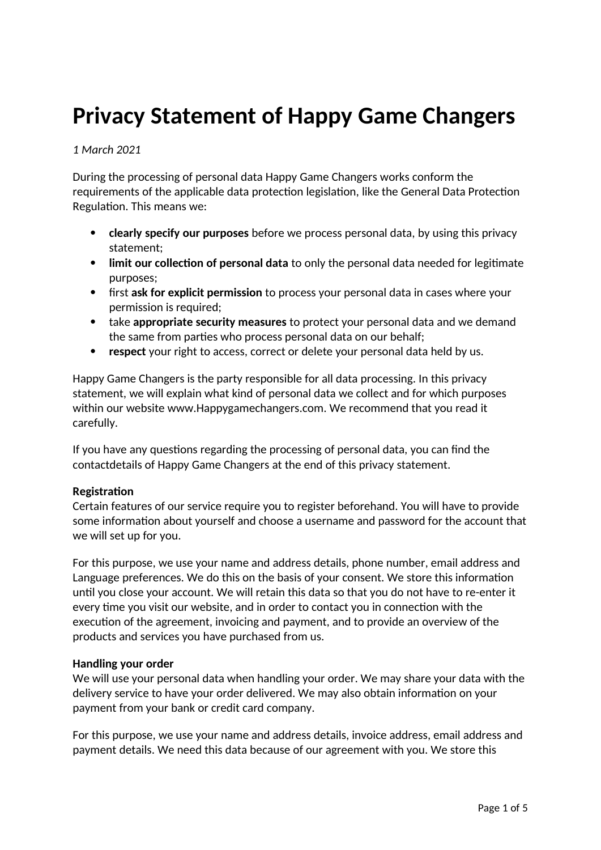# **Privacy Statement of Happy Game Changers**

*1 March 2021*

During the processing of personal data Happy Game Changers works conform the requirements of the applicable data protection legislation, like the General Data Protection Regulation. This means we:

- **clearly specify our purposes** before we process personal data, by using this privacy statement;
- **limit our collection of personal data** to only the personal data needed for legitimate purposes;
- first **ask for explicit permission** to process your personal data in cases where your permission is required;
- take **appropriate security measures** to protect your personal data and we demand the same from parties who process personal data on our behalf;
- **respect** your right to access, correct or delete your personal data held by us.

Happy Game Changers is the party responsible for all data processing. In this privacy statement, we will explain what kind of personal data we collect and for which purposes within our website www.Happygamechangers.com. We recommend that you read it carefully.

If you have any questions regarding the processing of personal data, you can find the contactdetails of Happy Game Changers at the end of this privacy statement.

# **Registration**

Certain features of our service require you to register beforehand. You will have to provide some information about yourself and choose a username and password for the account that we will set up for you.

For this purpose, we use your name and address details, phone number, email address and Language preferences. We do this on the basis of your consent. We store this information until you close your account. We will retain this data so that you do not have to re-enter it every time you visit our website, and in order to contact you in connection with the execution of the agreement, invoicing and payment, and to provide an overview of the products and services you have purchased from us.

# **Handling your order**

We will use your personal data when handling your order. We may share your data with the delivery service to have your order delivered. We may also obtain information on your payment from your bank or credit card company.

For this purpose, we use your name and address details, invoice address, email address and payment details. We need this data because of our agreement with you. We store this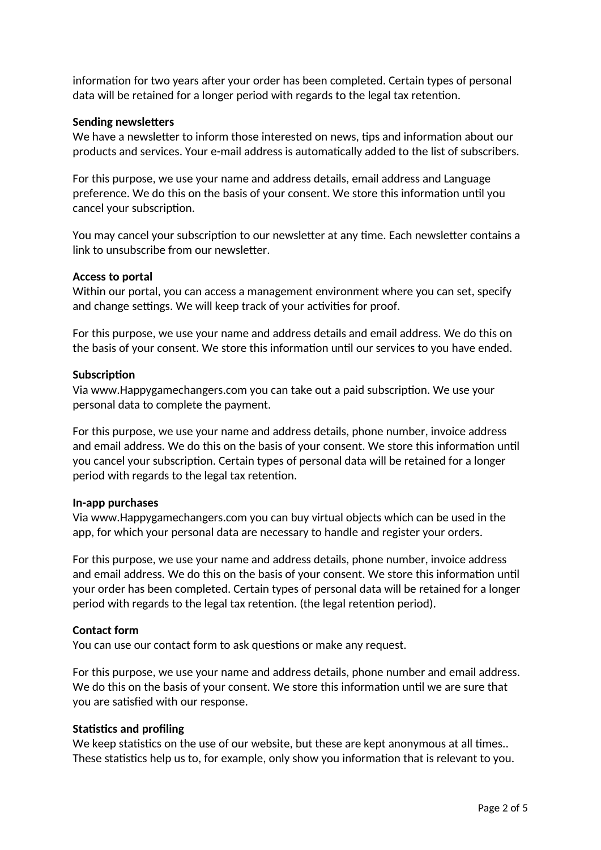information for two years after your order has been completed. Certain types of personal data will be retained for a longer period with regards to the legal tax retention.

## **Sending newsletters**

We have a newsletter to inform those interested on news, tips and information about our products and services. Your e-mail address is automatically added to the list of subscribers.

For this purpose, we use your name and address details, email address and Language preference. We do this on the basis of your consent. We store this information until you cancel your subscription.

You may cancel your subscription to our newsletter at any time. Each newsletter contains a link to unsubscribe from our newsletter.

### **Access to portal**

Within our portal, you can access a management environment where you can set, specify and change settings. We will keep track of your activities for proof.

For this purpose, we use your name and address details and email address. We do this on the basis of your consent. We store this information until our services to you have ended.

### **Subscription**

Via www.Happygamechangers.com you can take out a paid subscription. We use your personal data to complete the payment.

For this purpose, we use your name and address details, phone number, invoice address and email address. We do this on the basis of your consent. We store this information until you cancel your subscription. Certain types of personal data will be retained for a longer period with regards to the legal tax retention.

### **In-app purchases**

Via www.Happygamechangers.com you can buy virtual objects which can be used in the app, for which your personal data are necessary to handle and register your orders.

For this purpose, we use your name and address details, phone number, invoice address and email address. We do this on the basis of your consent. We store this information until your order has been completed. Certain types of personal data will be retained for a longer period with regards to the legal tax retention. (the legal retention period).

### **Contact form**

You can use our contact form to ask questions or make any request.

For this purpose, we use your name and address details, phone number and email address. We do this on the basis of your consent. We store this information until we are sure that you are satisfied with our response.

# **Statistics and profiling**

We keep statistics on the use of our website, but these are kept anonymous at all times.. These statistics help us to, for example, only show you information that is relevant to you.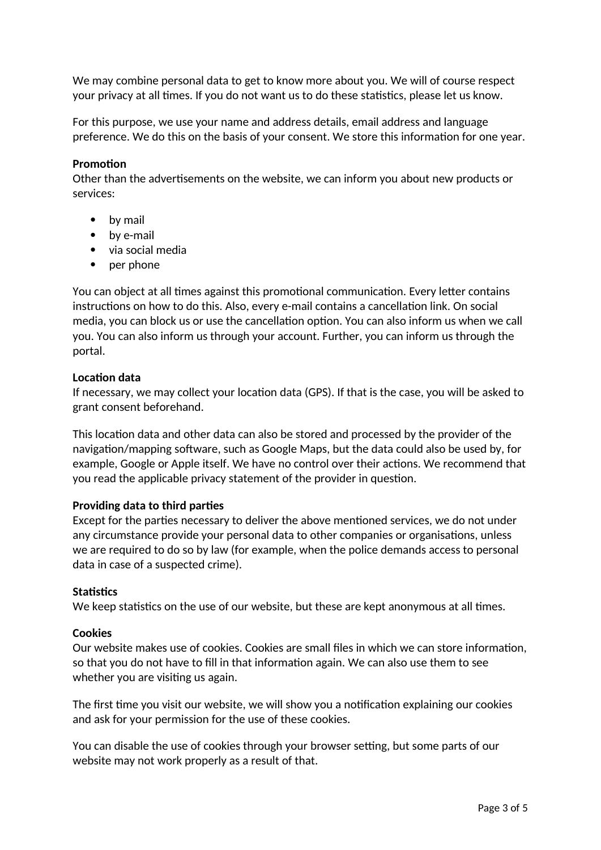We may combine personal data to get to know more about you. We will of course respect your privacy at all times. If you do not want us to do these statistics, please let us know.

For this purpose, we use your name and address details, email address and language preference. We do this on the basis of your consent. We store this information for one year.

## **Promotion**

Other than the advertisements on the website, we can inform you about new products or services:

- by mail
- by e-mail
- via social media
- per phone

You can object at all times against this promotional communication. Every letter contains instructions on how to do this. Also, every e-mail contains a cancellation link. On social media, you can block us or use the cancellation option. You can also inform us when we call you. You can also inform us through your account. Further, you can inform us through the portal.

## **Location data**

If necessary, we may collect your location data (GPS). If that is the case, you will be asked to grant consent beforehand.

This location data and other data can also be stored and processed by the provider of the navigation/mapping software, such as Google Maps, but the data could also be used by, for example, Google or Apple itself. We have no control over their actions. We recommend that you read the applicable privacy statement of the provider in question.

# **Providing data to third parties**

Except for the parties necessary to deliver the above mentioned services, we do not under any circumstance provide your personal data to other companies or organisations, unless we are required to do so by law (for example, when the police demands access to personal data in case of a suspected crime).

### **Statistics**

We keep statistics on the use of our website, but these are kept anonymous at all times.

### **Cookies**

Our website makes use of cookies. Cookies are small files in which we can store information, so that you do not have to fill in that information again. We can also use them to see whether you are visiting us again.

The first time you visit our website, we will show you a notification explaining our cookies and ask for your permission for the use of these cookies.

You can disable the use of cookies through your browser setting, but some parts of our website may not work properly as a result of that.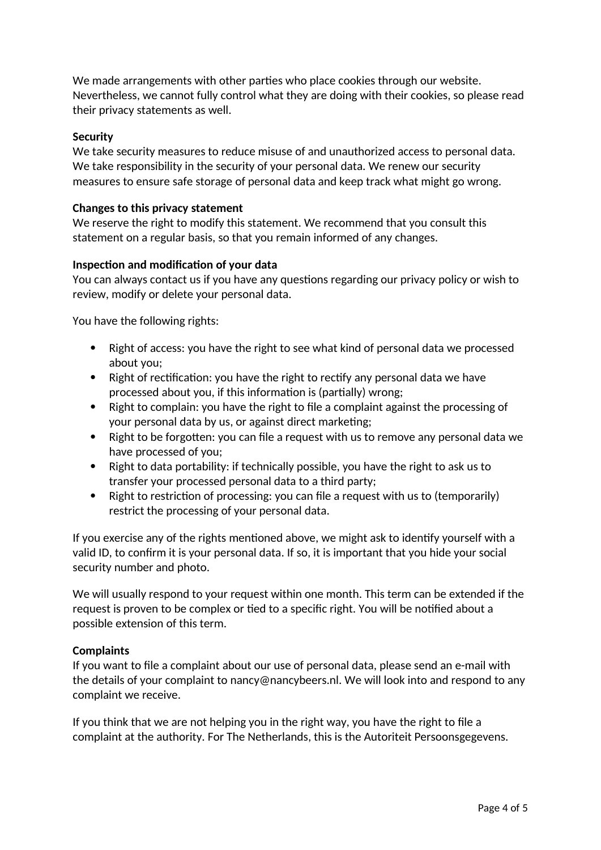We made arrangements with other parties who place cookies through our website. Nevertheless, we cannot fully control what they are doing with their cookies, so please read their privacy statements as well.

## **Security**

We take security measures to reduce misuse of and unauthorized access to personal data. We take responsibility in the security of your personal data. We renew our security measures to ensure safe storage of personal data and keep track what might go wrong.

## **Changes to this privacy statement**

We reserve the right to modify this statement. We recommend that you consult this statement on a regular basis, so that you remain informed of any changes.

## **Inspection and modification of your data**

You can always contact us if you have any questions regarding our privacy policy or wish to review, modify or delete your personal data.

You have the following rights:

- Right of access: you have the right to see what kind of personal data we processed about you;
- Right of rectification: you have the right to rectify any personal data we have processed about you, if this information is (partially) wrong;
- Right to complain: you have the right to file a complaint against the processing of your personal data by us, or against direct marketing;
- Right to be forgotten: you can file a request with us to remove any personal data we have processed of you;
- Right to data portability: if technically possible, you have the right to ask us to transfer your processed personal data to a third party;
- Right to restriction of processing: you can file a request with us to (temporarily) restrict the processing of your personal data.

If you exercise any of the rights mentioned above, we might ask to identify yourself with a valid ID, to confirm it is your personal data. If so, it is important that you hide your social security number and photo.

We will usually respond to your request within one month. This term can be extended if the request is proven to be complex or tied to a specific right. You will be notified about a possible extension of this term.

### **Complaints**

If you want to file a complaint about our use of personal data, please send an e-mail with the details of your complaint to nancy@nancybeers.nl. We will look into and respond to any complaint we receive.

If you think that we are not helping you in the right way, you have the right to file a complaint at the authority. For The Netherlands, this is the Autoriteit Persoonsgegevens.